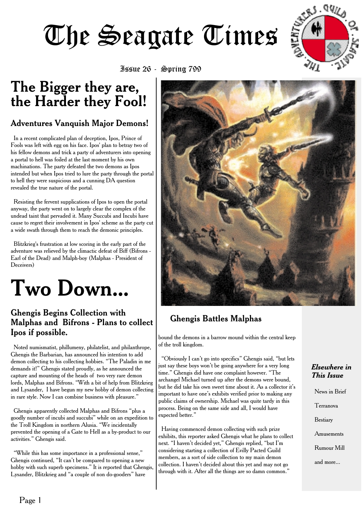

Issue 26 - Spring 799

## **The Bigger they are, the Harder they Fool!**

### Adventures Vanquish Major Demons!

In a recent complicated plan of deception, Ipos, Prince of Fools was left with egg on his face. Ipos' plan to betray two of his fellow demons and trick a party of adventurers into opening a portal to hell was foiled at the last moment by his own machinations. The party defeated the two demons as Ipos intended but when Ipos tried to lure the party through the portal to hell they were suspicious and a cunning DA question revealed the true nature of the portal.

Resisting the fervent supplications of Ipos to open the portal anyway, the party went on to largely clear the complex of the undead taint that pervaded it. Many Succubi and Incubi have cause to regret their involvement in Ipos' scheme as the party cut a wide swath through them to reach the demonic principles.

Blitzkrieg's frustration at low scoring in the early part of the adventure was relieved by the climactic defeat of Biff (Bifrons - Earl of the Dead) and Malph-boy (Malphas - President of Deceivers)



### Ghengis Begins Collection with Malphas and Bifrons - Plans to collect Ipos if possible.

Noted numismatist, phillumeny, philatelist, and philanthrope, Ghengis the Barbarian, has announced his intention to add demon collecting to his collecting hobbies. "The Paladin in me demands it!" Ghengis stated proudly, as he announced the capture and mounting of the heads of two very rare demon lords, Malphas and Bifrons. "With a bit of help from Blitzkrieg and Lysander, I have begun my new hobby of demon collecting in rare style. Now I can combine business with pleasure."

Ghengis apparently collected Malphas and Bifrons "plus a goodly number of incubi and succubi" while on an expedition to the Troll Kingdom in northern Alusia. "We incidentally prevented the opening of a Gate to Hell as a by-product to our activities." Ghengis said.

"While this has some importance in a professional sense," Ghengis continued, "It can't be compared to opening a new hobby with such superb specimens." It is reported that Ghengis Lysander, Blitzkrieg and "a couple of non do-gooders" have



### Ghengis Battles Malphas

bound the demons in a barrow mound within the central keep of the troll kingdom.

"Obviously I can't go into specifics" Ghengis said, "but lets just say these boys won't be going anywhere for a very long time." Ghengis did have one complaint however. "The archangel Michael turned up after the demons were bound, but he did take his own sweet time about it. As a collector it's important to have one's exhibits verified prior to making any public claims of ownership. Michael was quite tardy in this process. Being on the same side and all, I would have expected better."

Having commenced demon collecting with such prize exhibits, this reporter asked Ghengis what he plans to collect next. "I haven't decided yet," Ghengis replied, "but I'm considering starting a collection of Evilly Pacted Guild members, as a sort of side collection to my main demon collection. I haven't decided about this yet and may not go through with it. After all the things are so damn common.'

#### *Elsewhere in This Issue*

News in Brief Terranova Bestiary Amusements Rumour Mill and more...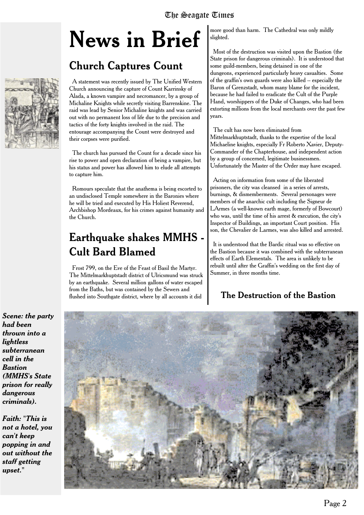# **News in Brief**

### Church Captures Count

A statement was recently issued by The Unified Western Church announcing the capture of Count Karrinsky of Alada, a known vampire and necromancer, by a group of Michaline Knights while secretly visiting Barrenskine. The raid was lead by Senior Michaline knights and was carried out with no permanent loss of life due to the precision and tactics of the forty knights involved in the raid. The entourage accompanying the Count were destroyed and their corpses were purified.

The church has pursued the Count for a decade since his rise to power and open declaration of being a vampire, but his status and power has allowed him to elude all attempts to capture him.

Romours speculate that the anathema is being escorted to an undisclosed Temple somewhere in the Baronies where he will be tried and executed by His Holiest Reverend, Archbishop Mordeaux, for his crimes against humanity and the Church.

### **Earthquake shakes MMHS - Cult Bard Blamed**

Frost 799, on the Eve of the Feast of Basil the Martyr. The Mittelmarkhuptstadt district of Ulricsmund was struck by an earthquake. Several million gallons of water escaped from the Baths, but was contained by the Sewers and flushed into Southgate district, where by all accounts it did

more good than harm. The Cathedral was only mildly slighted.

Most of the destruction was visited upon the Bastion (the State prison for dangerous criminals). It is understood that some guild-members, being detained in one of the dungeons, experienced particularly heavy casualties. Some of the graffin's own guards were also killed -- especially the Baron of Grenzstadt, whom many blame for the incident, because he had failed to eradicate the Cult of the Purple Hand, worshippers of the Duke of Changes, who had been extorting millions from the local merchants over the past few years.

The cult has now been eliminated from Mittelmarkhuptstadt, thanks to the expertise of the local Michaeline knights, especially Fr Roberto Xavier, Deputy-Commander of the Chapterhouse, and independent action by a group of concerned, legitimate businessmen. Unfortunately the Master of the Order may have escaped.

Acting on information from some of the liberated prisoners, the city was cleansed in a series of arrests, burnings, & dismemberments. Several personages were members of the anarchic cult including the Signeur de LArmes (a well-known earth mage, formerly of Bowcourt) who was, until the time of his arrest & execution, the city's Inspector of Buildings, an important Court position. His son, the Chevalier de Larmes, was also killed and arrested.

It is understood that the Bardic ritual was so effective on the Bastion because it was combined with the subterranean effects of Earth Elementals. The area is unlikely to be rebuilt until after the Graffin's wedding on the first day of Summer, in three months time.

### The Destruction of the Bastion

*Scene: the party had been thrown into a lightless subterranean cell in the Bastion (MMHS's State prison for really dangerous criminals).*

*Faith: "This is not a hotel, you can't keep popping in and out without the staff getting upset."*



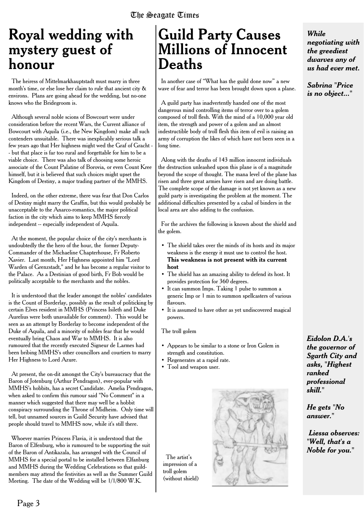## **Royal wedding with mystery guest of honour**

The heiress of Mittelmarkhauptstadt must marry in three month's time, or else lose her claim to rule that ancient city & environs. Plans are going ahead for the wedding, but no-one knows who the Bridegroom is.

Although several noble scions of Bowcourt were under consideration before the recent Wars, the Current alliance of Bowcourt with Aquila (i.e., the New Kingdom) make all such contenders unsuitable. There was inexplicably serious talk a few years ago that Her highness might wed the Graf of Gracht - but that place is far too rural and forgettable for him to be a viable choice. There was also talk of choosing some heroic associate of the Count Palatine of Borovia, or even Count Kree himself, but it is believed that such choices might upset the Kingdom of Destiny, a major trading partner of the MMHS.

Indeed, on the other extreme, there was fear that Don Carlos of Destiny might marry the Graffin, but this would probably be unacceptable to the Anarco-romantics, the major political faction in the city which aims to keep MMHS fiercely independent -- especially independent of Aquila.

At the moment, the popular choice of the city's merchants is undoubtedly the the hero of the hour, the former Deputy-Commander of the Michaeline Chapterhouse, Fr Roberto Xavier. Last month, Her Highness appointed him "Lord Warden of Grenzstadt," and he has become a regular visitor to the Palace. As a Destinian of good birth, Fr Bob would be politically acceptable to the merchants and the nobles.

It is understood that the leader amongst the nobles' candidates is the Count of Borderlay, possibly as the result of politicking by certain Elves resident in MMHS (Princess Isileth and Duke Aurelius were both unavailable for comment). This would be seen as an attempt by Borderlay to become independent of the Duke of Aquila, and a minority of nobles fear that he would eventually bring Chaos and War to MMHS. It is also rumoured that the recently executed Signeur de Larmes had been bribing MMHS's other councillors and courtiers to marry Her Highness to Lord Azure.

At present, the on-dit amongst the City's bureaucracy that the Baron of Jotenburg (Arthur Pendragon), ever-popular with MMHS's hobbits, has a secret Candidate. Amelia Pendragon, when asked to confirm this rumour said "No Comment" in a manner which suggested that there may well be a hobbit conspiracy surrounding the Throne of Midheim. Only time will tell, but unnamed sources in Guild Security have advised that people should travel to MMHS now, while it's still there.

Whoever marries Princess Flavia, it is understood that the Baron of Elfenburg, who is rumoured to be supporting the suit of the Baron of Antikazala, has arranged with the Council of MMHS for a special portal to be installed between Elfanburg and MMHS during the Wedding Celebrations so that guildmembers may attend the festivities as well as the Summer Guild Meeting. The date of the Wedding will be 1/1/800 W.K.

### **Guild Party Causes Millions of Innocent Deaths**

In another case of "What has the guild done now" a new wave of fear and terror has been brought down upon a plane.

A guild party has inadvertently handed one of the most dangerous mind controlling items of terror over to a golem composed of troll flesh. With the mind of a 10,000 year old item, the strength and power of a golem and an almost indestructible body of troll flesh this item of evil is raising an army of corruption the likes of which have not been seen in a long time.

Along with the deaths of 143 million innocent individuals the destruction unleashed upon this plane is of a magnitude beyond the scope of thought. The mana level of the plane has risen and three great armies have risen and are doing battle. The complete scope of the damage is not yet known as a new guild party is investigating the problem at the moment. The additional difficulties presented by a cabal of binders in the local area are also adding to the confusion.

For the archives the following is known about the shield and the golem.

- The shield takes over the minds of its hosts and its major weakness is the energy it must use to control the host. **This weakness is not present with its current host**
- The shield has an amazing ability to defend its host. It provides protection for 360 degrees.
- It can summon Imps. Taking 1 pulse to summon a generic Imp or 1 min to summon spellcasters of various flavours.
- It is assumed to have other as yet undiscovered magical powers.

#### The troll golem

- Appears to be similar to a stone or Iron Golem in strength and constitution.
- Regenerates at a rapid rate.
- Tool and weapon user.

The artist's impression of a troll golem (without shield)



*While negotiating with the greediest dwarves any of us had ever met.*

*Sabrina "Price is no object..."*

*Eidolon D.A.'s the governor of Sgarth City and asks, "Highest ranked professional skill."*

*He gets "No answer."*

*Liessa observes: "Well, that's a Noble for you."*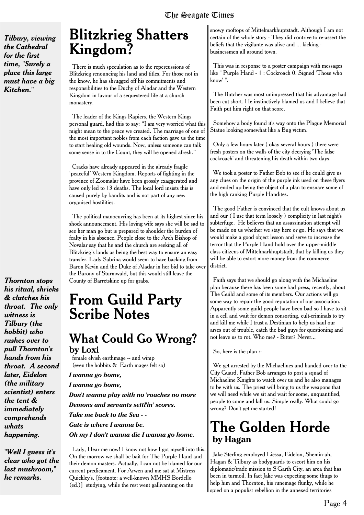*Tilbury, viewing the Cathedral for the first time, "Surely a place this large must have a big Kitchen."*

*Thornton stops his ritual, shrieks & clutches his throat. The only witness is Tilbury (the hobbit) who rushes over to pull Thornton's hands from his throat. A second later, Eidelon (the military scientist) enters the tent & immediately comprehends whats happening.*

*"Well I guess it's clear who got the last mushroom," he remarks.*

### **Blitzkrieg Shatters Kingdom?**

There is much speculation as to the repercussions of Blitzkrieg renouncing his land and titles. For those not in the know, he has shrugged off his commitments and responsibilities to the Duchy of Aladar and the Western Kingdom in favour of a sequestered life at a church monastery.

The leader of the Kings Rapiers, the Western Kings personal guard, had this to say: "I am very worried what this might mean to the peace we created. The marriage of one of the most important nobles from each faction gave us the time to start healing old wounds. Now, unless someone can talk some sense in to the Count, they will be opened afresh."

Cracks have already appeared in the already fragile 'peaceful' Western Kingdom. Reports of fighting in the province of Zoomalar have been grossly exaggerated and have only led to 13 deaths. The local lord insists this is caused purely by bandits and is not part of any new organised hostilities.

The political manoeuvring has been at its highest since his shock announcement. His loving wife says she will be sad to see her man go but is prepared to shoulder the burden of fealty in his absence. People close to the Arch Bishop of Novalar say that he and the church are seeking all of Blitzkrieg's lands as being the best way to ensure an easy transfer. Lady Sabrina would seem to have backing from Baron Kevin and the Duke of Aladar in her bid to take over the Barony of Sturmwald, but this would still leave the County of Barretskine up for grabs.

### **From Guild Party Scribe Notes**

### What Could Go Wrong? **by Loxi**

female elvish earthmage -- and wimp (even the hobbits & Earth mages felt so)

*I wanna go home,*

*I wanna go home,*

*Don't wanna play with no 'roaches no more Demons and servants settl'in' scores. Take me back to the Sea - -*

*Gate is where I wanna be.*

*Oh my I don't wanna die I wanna go home.*

Lady, Hear me now! I know not how I got myself into this. On the morrow we shall be bait for The Purple Hand and their demon masters. Actually, I can not be blamed for our current predicament. For Arwen and me sat at Mistress Quickley's, [footnote: a well-known MMHS Bordello (ed.)] studying, while the rest went gallivanting on the

snowy rooftops of Mittelmarkhuptstadt. Although I am not certain of the whole story - They did contrive to re-assert the beliefs that the vigilante was alive and ... kicking businessmen all around town.

This was in response to a poster campaign with messages like " Purple Hand-1: Cockroach 0. Signed 'Those who know' ".

The Butcher was most unimpressed that his advantage had been cut short. He instinctively blamed us and I believe that Faith put him right on that score.

Somehow a body found it's way onto the Plague Memorial Statue looking somewhat like a Bug victim.

Only a few hours later ( okay several hours ) there were fresh posters on the walls of the city decrying 'The false cockroach' and threatening his death within two days.

We took a poster to Father Bob to see if he could give us any clues on the origin of the purple ink used on these flyers and ended up being the object of a plan to ensnare some of the high ranking Purple Handites.

The good Father is convinced that the cult knows about us and our ( I use that term loosely ) complicity in last night's subterfuge. He believes that an assassination attempt will be made on us whether we stay here or go. He says that we would make a good object lesson and serve to increase the terror that the Purple Hand hold over the upper-middle class citizens of Mittelmarkhuptstadt, that by killing us they will be able to extort more money from the commerce district.

Faith says that we should go along with the Michaeline plan because there has been some bad press, recently, about The Guild and some of its members. Our actions will go some way to repair the good reputation of our association. Apparently some guild people have been bad so I have to sit in a cell and wait for demon consorting, cult-criminals to try and kill me while I trust a Destinian to help us haul our arses out of trouble, catch the bad guys for questioning and not leave us to rot. Who me? - Bitter? Never...

So, here is the plan :-

We get arrested by the Michaelines and handed over to the City Guard. Father Bob arranges to post a squad of Michaeline Knights to watch over us and he also manages to be with us. The priest will bring to us the weapons that we will need while we sit and wait for some, unquantified, people to come and kill us. Simple really. What could go wrong? Don't get me started!

### **The Golden Horde by Hagan**

Jake Sterling employed Liessa, Eidelon, Shemin-ah, Hagan & Tilbury as bodyguards to escort him on his diplomatic/trade mission to S'Garth City, an area that has been in turmoil. In fact Jake was expecting some thugs to help him and Thornton, his runemage flunky, while he spied on a populist rebellion in the annexed territories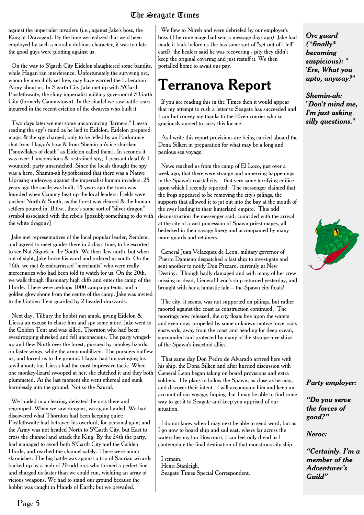against the imperialist invaders (i.e., against Jake's boss, the King at Dravogen). By the time we realized that we'd been employed by such a morally dubious character, it was too late - the good guys were plotting against us.

On the way to S'garth City Eidelon slaughtered some bandits, while Hagan ran interference. Unfortunately the surviving orc, whom he mercifully set free, may have warned the Liberation Army about us. In S'garth City Jake met up with S'Garth Postlethwaite, the slimy imperialist military governor of S'Garth City (formerly Gammytown). In the citadel we saw battle-scars incurred in the recent eviction of the dwarves who built it.

Two days later we met some unconvincing "farmers." Liessa reading the spy's mind as he lied to Eidelon. Eidelon prepared magic & the spy charged, only to be felled by an Endurance shot from Hagan's bow & from Shemin-ah's ice-shuriken ["snowflakes of death" as Eidelon called them]. In seconds it was over: 1 unconscious & restrained spy, 1 peasant dead & 1 wounded; party unscratched. Since the locals thought the spy was a hero, Shamin-ah hypothesized that there was a Native Uprising underway against the imperialist human invaders. 25 years ago the castle was built, 15 years ago the town was founded when Gammy beat up the local leaders. Fields were pushed North & South, as the forest was cleared & the human settlers poured in. B.t.w., there's some sort of "silver dragon" symbol associated with the rebels [possibly something to do with the white dragon?]

Jake met representatives of the local popular leader, Sendem, and agreed to meet guides there in 2 days' time, to be escorted to see Nat Signek in the South. We then flew north, but when out of sight, Jake broke his word and ordered us south. On the 16th, we met & embarrassed "merchants" who were really mercenaries who had been told to watch for us. On the 20th, we walk though illusionary high cliffs and enter the camp of the Horde. There were perhaps 1000 campaign tents; and a golden glow shone from the centre of the camp. Jake was invited to the Golden Tent guarded by 2-headed drazzards.

Next day, Tilbury the hobbit ran amok, giving Eidelon & Liessa an excuse to chase him and spy some more. Jake went to the Golden Tent and was killed. Thornton who had been evesdropping shrieked and fell unconscious. The party wingedup and flew North over the forest, pursued by monkey-lizards on faster wings, while the army mobilized. The pursuers outflew us, and forced us to the ground. Hagan had fun swinging his anvil about; but Liessa had the most impressive tactic. When one monkey-lizard swooped at her, she clutched it and they both plummeted. At the last moment she went ethereal and sunk harmlessly into the ground. Not so the Saurid.

We landed in a clearing, defeated the orcs there and regrouped. When we saw dragons, we again landed. We had discovered what Thornton had been keeping quiet: Postlethwaite had betrayed his overlord, for personal gain; and the Army was not headed North to S'Garth City, but East to cross the channel and attack the King. By the 24th the party, had managed to avoid both S'Garth City and the Golden Horde, and reached the channel safely. There were minor skirmishes. The big battle was against a trio of Saurian wizards backed up by a mob of 20-odd orcs who formed a perfect line and charged us faster than we could run, wielding an array of vicious weapons. We had to stand our ground because the hobbit was caught in Hands of Earth; but we prevailed.

We flew to Nilreb and were debriefed by our employer's boss (The rune mage had sent a message days ago). Jake had made it back before us (he has some sort of "get-out-of-Hell" card), the healers said he was recovering - pity they didn't keep the original covering and just restuff it. We then portalled home to await our pay.

# **Terranova Report**

If you are reading this in the Times then it would appear that my attempt to rush a letter to Seagate has succeeded and I can but convey my thanks to the Elven courier who so graciously agreed to carry this for me.

As I write this report provisions are being carried aboard the Dona Silken in preparation for what may be a long and perilous sea voyage.

News reached us from the camp of El Loco, just over a week ago, that there were strange and unnerving happenings in the Spawn's coastal city -- that very same terrifying edifice upon which I recently reported. The messenger claimed that the frogs appeared to be removing the city's pilings, the supports that allowed it to jut out into the bay at the mouth of the river leading to their hinterland empire. This odd deconstruction the messenger said, coincided with the arrival at the city of a vast procession of Spawn priest-mages, all bedecked in their savage finery and accompanied by many more guards and retainers.

General Juan Velazquez de Leon, military governor of Puerto Damieno despatched a fast ship to investigate and sent another to notify Don Pizzaro, currently at New Destiny. Though badly damaged and with many of her crew missing or dead, General Leon's ship returned yesterday, and brought with her a fantastic tale -- the Spawn city floats!

The city, it seems, was not supported on pilings, but rather moored against the coast as construction continued. The moorings now released, the city floats free upon the waters and even now, propelled by some unknown motive force, sails eastwards, away from the coast and heading for deep ocean, surrounded and protected by many of the strange hive ships of the Spawn's insectoid allies.

That same day Don Pedro de Alvarado arrived here with his ship, the Dona Silken and after hurried discussion with General Leon began taking on board provisions and extra soldiers. He plans to follow the Spawn, as close as he may, and discover their intent. I will accompany him and keep an account of our voyage, hoping that I may be able to find some way to get it to Seagate and keep you apprised of our situation.

I do not know when I may next be able to send word, but as I go now to board ship and sail east, where far across the waters lies my fair Bowcourt, I can feel only dread as I contemplate the final destination of that monstrous city-ship.

I remain, Henri Stanleigh. Seagate Times Special Correspondent. *Orc guard (\*finally\* becoming suspicious): " 'Ere, What you upto, anyway?"*

*Shemin-ah: "Don't mind me, I'm just asking silly questions."*



#### *Party employer:*

*"Do you serve the forces of good?"*

*Neroc:*

*"Certainly. I'm a member of the Adventurer's Guild"*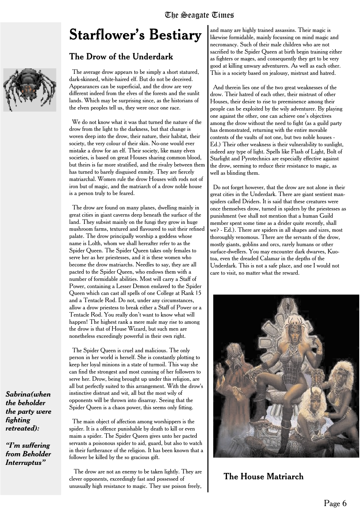# **Starflower's Bestiary**

#### The Drow of the Underdark

The average drow appears to be simply a short statured, dark-skinned, white-haired elf. But do not be deceived. Appearances can be superficial, and the drow are very different indeed from the elves of the forests and the sunlit lands. Which may be surprising since, as the historians of the elven peoples tell us, they were once one race.

We do not know what it was that turned the nature of the drow from the light to the darkness, but that change is woven deep into the drow, their nature, their habitat, their society, the very colour of their skin. No-one would ever mistake a drow for an elf. Their society, like many elven societies, is based on great Houses sharing common blood, but theirs is far more stratified, and the rivalry between them has turned to barely disguised enmity. They are fiercely matriarchal. Women rule the drow Houses with rods not of iron but of magic, and the matriarch of a drow noble house is a person truly to be feared.

The drow are found on many planes, dwelling mainly in great cities in giant caverns deep beneath the surface of the land. They subsist mainly on the fungi they grow in huge mushroom farms, textured and flavoured to suit their refined palate. The drow principally worship a goddess whose name is Lolth, whom we shall hereafter refer to as the Spider Queen. The Spider Queen takes only females to serve her as her priestesses, and it is these women who become the drow matriarchs. Needles to say, they are all pacted to the Spider Queen, who endows them with a number of formidable abilities. Most will carry a Staff of Power, containing a Lesser Demon enslaved to the Spider Queen which can cast all spells of one College at Rank 15 and a Tentacle Rod. Do not, under any circumstances, allow a drow priestess to break either a Staff of Power or a Tentacle Rod. You really don't want to know what will happen! The highest rank a mere male may rise to among the drow is that of House Wizard, but such men are nonetheless exceedingly powerful in their own right.

The Spider Queen is cruel and malicious. The only person in her world is herself. She is constantly plotting to keep her loyal minions in a state of turmoil. This way she can find the strongest and most cunning of her followers to serve her. Drow, being brought up under this religion, are all but perfectly suited to this arrangement. With the drow's instinctive distrust and wit, all but the most wily of opponents will be thrown into disarray. Seeing that the Spider Queen is a chaos power, this seems only fitting.

The main object of affection among worshippers is the spider. It is a offence punishable by death to kill or even maim a spider. The Spider Queen gives unto her pacted servants a poisonous spider to aid, guard, but also to watch in their furtherance of the religion. It has been known that a follower be killed by the so gracious gift.

The drow are not an enemy to be taken lightly. They are clever opponents, exceedingly fast and possessed of unusually high resistance to magic. They use poison freely,

and many are highly trained assassins. Their magic is likewise formidable, mainly focussing on mind magic and necromancy. Such of their male children who are not sacrified to the Spider Queen at birth begin training either as fighters or mages, and consequently they get to be very good at killing unwary adventurers. As well as each other. This is a society based on jealousy, mistrust and hatred.

And therein lies one of the two great weaknesses of the drow. Their hatred of each other, their mistrust of other Houses, their desire to rise to preeminence among their people can be exploited by the wily adventurer. By playing one against the other, one can achieve one's objectives among the drow without the need to fight (as a guild party has demonstrated, returning with the entire movable contents of the vaults of not one, but two noble houses - Ed.) Their other weakness is their vulnerability to sunlight, indeed any type of light. Spells like Flash of Light, Bolt of Starlight and Pyrotechnics are especially effective against the drow, seeming to reduce their resistance to magic, as well as blinding them.

Do not forget however, that the drow are not alone in their great cities in the Underdark. There are giant sentient manspiders called Driders. It is said that these creatures were once themselves drow, turned in spiders by the priestesses as punishment (we shall not mention that a human Guild member spent some time as a drider quite recently, shall we? - Ed.). There are spiders in all shapes and sizes, most thoroughly venomous. There are the servants of the drow, mostly giants, goblins and orcs, rarely humans or other surface-dwellers. You may encounter dark dwarves, Kuotoa, even the dreaded Calamar in the depths of the Underdark. This is not a safe place, and one I would not care to visit, no matter what the reward.



The House Matriarch



*Sabrina(when the beholder the party were fighting retreated):*

*"I'm suffering from Beholder Interruptus"*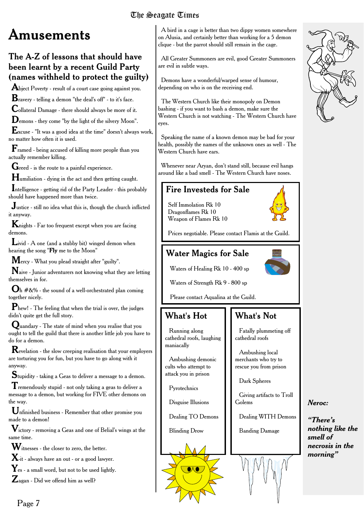# **Amusements**

### The A-Z of lessons that should have been learnt by a recent Guild Party (names withheld to protect the guilty)

**A**biect Poverty - result of a court case going against you.

**B**ravery - telling a demon "the deal's off" - to it's face.

**C**ollateral Damage - there should always be more of it.

**D**emons - they come "by the light of the silvery Moon".

**E**xcuse - "It was a good idea at the time" doesn't always work, no matter how often it is used.

**F**ramed - being accused of killing more people than you actually remember killing.

Greed - is the route to a painful experience.

**H**umiliation - dying in the act and then getting caught.

**I**ntelligence - getting rid of the Party Leader - this probably should have happened more than twice.

**J**ustice - still no idea what this is, though the church inflicted it anyway.

**K**nights - Far too frequent except when you are facing demons.

**L**ivid - A one (and a stubby bit) winged demon when hearing the song "**Fly** me to the Moon"

**M**ercy - What you plead straight after "guilty".

**N**aive - Junior adventurers not knowing what they are letting themselves in for.

**O**h #&% - the sound of a well-orchestrated plan coming together nicely.

**P**hew! - The feeling that when the trial is over, the judges didn't quite get the full story.

**Q**uandary - The state of mind when you realise that you ought to tell the guild that there is another little job you have to do for a demon.

**R**evelation - the slow creeping realisation that your employers are torturing you for fun, but you have to go along with it anyway.

**S**tupidity - taking a Geas to deliver a message to a demon.

**T**remendously stupid - not only taking a geas to deliver a message to a demon, but working for FIVE other demons on the way.

**U**nfinished business - Remember that other promise you made to a demon!

**V**ictory - removing a Geas and one of Belial's wings at the same time.

**W**itnesses - the closer to zero, the better.

**X**-it - always have an out - or a good lawyer.

Y<sub>es - a small word, but not to be used lightly.</sub>

**Z**agan - Did we offend him as well?

A bird in a cage is better than two dippy women somewhere on Alusia, and certainly better than working for a 5 demon clique - but the parrot should still remain in the cage.

All Greater Summoners are evil, good Greater Summoners are evil in subtle ways.

Demons have a wonderful/warped sense of humour, depending on who is on the receiving end.

The Western Church like their monopoly on Demon bashing - if you want to bash a demon, make sure the Western Church is not watching - The Western Church have eyes.

Speaking the name of a known demon may be bad for your health, possibly the names of the unknown ones as well - The Western Church have ears.

Whenever near Aryan, don't stand still, because evil hangs around like a bad smell - The Western Church have noses.

### Fire Investeds for Sale

Self Immolation Rk 10 Dragonflames Rk 10 Weapon of Flames Rk 10

Prices negotiable. Please contact Flamis at the Guild.

### Water Magics for Sale



Waters of Strength Rk 9 - 800 sp

Please contact Aqualina at the Guild.

### What's Hot

#### Running along cathedral roofs, laughing maniacally

Ambushing demonic cults who attempt to attack you in prison

Pyrotechnics

Disguise Illusions

Blinding Drow

Dealing TO Demons

Fatally plummeting off cathedral roofs

Ambushing local merchants who try to rescue you from prison

Dark Spheres

What's Not

Giving artifacts to Troll Golems

Dealing WITH Demons

*Neroc:*

*"There's*

*smell of*

*nothing like the*

*necrosis in the morning"*

Banding Damage